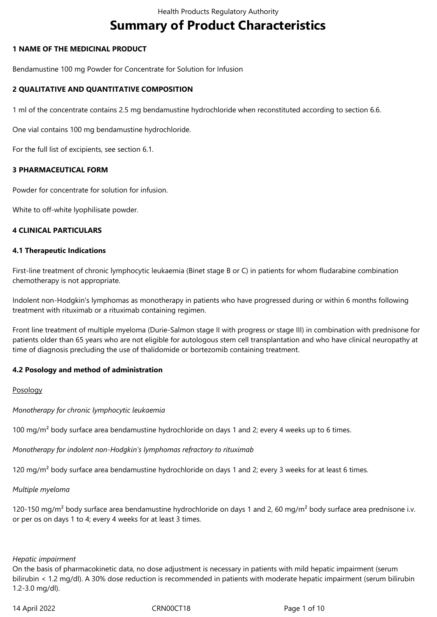# **Summary of Product Characteristics**

## **1 NAME OF THE MEDICINAL PRODUCT**

Bendamustine 100 mg Powder for Concentrate for Solution for Infusion

## **2 QUALITATIVE AND QUANTITATIVE COMPOSITION**

1 ml of the concentrate contains 2.5 mg bendamustine hydrochloride when reconstituted according to section 6.6.

One vial contains 100 mg bendamustine hydrochloride.

For the full list of excipients, see section 6.1.

## **3 PHARMACEUTICAL FORM**

Powder for concentrate for solution for infusion.

White to off-white lyophilisate powder.

## **4 CLINICAL PARTICULARS**

## **4.1 Therapeutic Indications**

First-line treatment of chronic lymphocytic leukaemia (Binet stage B or C) in patients for whom fludarabine combination chemotherapy is not appropriate.

Indolent non‑Hodgkin's lymphomas as monotherapy in patients who have progressed during or within 6 months following treatment with rituximab or a rituximab containing regimen.

Front line treatment of multiple myeloma (Durie‑Salmon stage II with progress or stage III) in combination with prednisone for patients older than 65 years who are not eligible for autologous stem cell transplantation and who have clinical neuropathy at time of diagnosis precluding the use of thalidomide or bortezomib containing treatment.

## **4.2 Posology and method of administration**

## Posology

*Monotherapy for chronic lymphocytic leukaemia* 

100 mg/m<sup>2</sup> body surface area bendamustine hydrochloride on days 1 and 2; every 4 weeks up to 6 times.

*Monotherapy for indolent non‑Hodgkin's lymphomas refractory to rituximab* 

120 mg/m<sup>2</sup> body surface area bendamustine hydrochloride on days 1 and 2; every 3 weeks for at least 6 times.

*Multiple myeloma* 

120-150 mg/m<sup>2</sup> body surface area bendamustine hydrochloride on days 1 and 2, 60 mg/m<sup>2</sup> body surface area prednisone i.v. or per os on days 1 to 4; every 4 weeks for at least 3 times.

#### *Hepatic impairment*

On the basis of pharmacokinetic data, no dose adjustment is necessary in patients with mild hepatic impairment (serum bilirubin < 1.2 mg/dl). A 30% dose reduction is recommended in patients with moderate hepatic impairment (serum bilirubin 1.2‑3.0 mg/dl).

14 April 2022 CRN00CT18 Page 1 of 10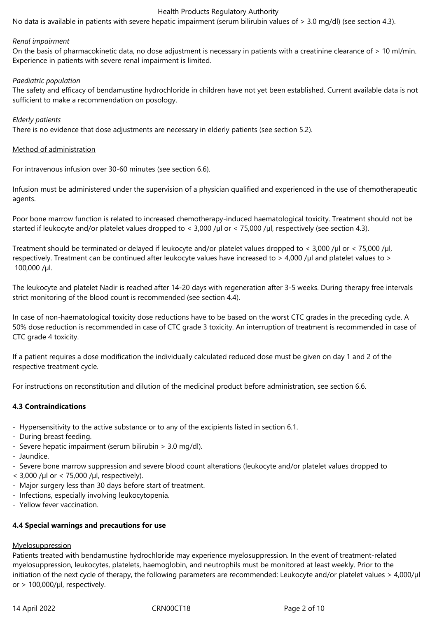No data is available in patients with severe hepatic impairment (serum bilirubin values of > 3.0 mg/dl) (see section 4.3).

#### *Renal impairment*

On the basis of pharmacokinetic data, no dose adjustment is necessary in patients with a creatinine clearance of > 10 ml/min. Experience in patients with severe renal impairment is limited.

### *Paediatric population*

The safety and efficacy of bendamustine hydrochloride in children have not yet been established. Current available data is not sufficient to make a recommendation on posology.

### *Elderly patients*

There is no evidence that dose adjustments are necessary in elderly patients (see section 5.2).

### Method of administration

For intravenous infusion over 30‑60 minutes (see section 6.6).

Infusion must be administered under the supervision of a physician qualified and experienced in the use of chemotherapeutic agents.

Poor bone marrow function is related to increased chemotherapy‑induced haematological toxicity. Treatment should not be started if leukocyte and/or platelet values dropped to < 3,000 /µl or < 75,000 /µl, respectively (see section 4.3).

Treatment should be terminated or delayed if leukocyte and/or platelet values dropped to < 3,000 /µl or < 75,000 /µl, respectively. Treatment can be continued after leukocyte values have increased to > 4,000 /µl and platelet values to > 100,000 /µl.

The leukocyte and platelet Nadir is reached after 14‑20 days with regeneration after 3‑5 weeks. During therapy free intervals strict monitoring of the blood count is recommended (see section 4.4).

In case of non-haematological toxicity dose reductions have to be based on the worst CTC grades in the preceding cycle. A 50% dose reduction is recommended in case of CTC grade 3 toxicity. An interruption of treatment is recommended in case of CTC grade 4 toxicity.

If a patient requires a dose modification the individually calculated reduced dose must be given on day 1 and 2 of the respective treatment cycle.

For instructions on reconstitution and dilution of the medicinal product before administration, see section 6.6.

## **4.3 Contraindications**

- Hypersensitivity to the active substance or to any of the excipients listed in section 6.1.
- During breast feeding.
- Severe hepatic impairment (serum bilirubin > 3.0 mg/dl).
- Jaundice.
- Severe bone marrow suppression and severe blood count alterations (leukocyte and/or platelet values dropped to
- $<$  3,000 /µl or  $<$  75,000 /µl, respectively).
- Major surgery less than 30 days before start of treatment.
- Infections, especially involving leukocytopenia.
- Yellow fever vaccination.

## **4.4 Special warnings and precautions for use**

#### **Myelosuppression**

Patients treated with bendamustine hydrochloride may experience myelosuppression. In the event of treatment-related myelosuppression, leukocytes, platelets, haemoglobin, and neutrophils must be monitored at least weekly. Prior to the initiation of the next cycle of therapy, the following parameters are recommended: Leukocyte and/or platelet values > 4,000/µl or  $> 100,000$ /µl, respectively.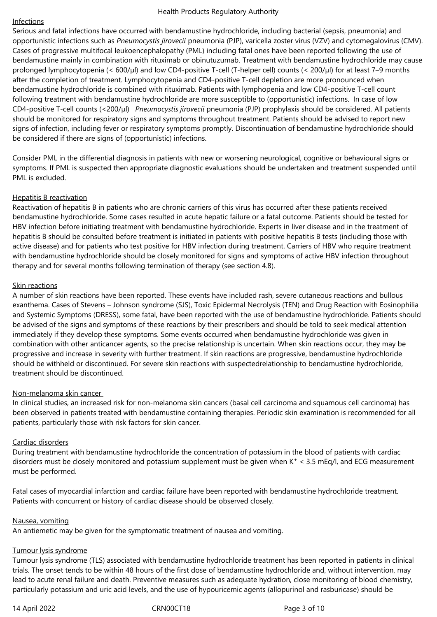## Infections

Serious and fatal infections have occurred with bendamustine hydrochloride, including bacterial (sepsis, pneumonia) and opportunistic infections such as *Pneumocystis jirovecii* pneumonia (PJP), varicella zoster virus (VZV) and cytomegalovirus (CMV). Cases of progressive multifocal leukoencephalopathy (PML) including fatal ones have been reported following the use of bendamustine mainly in combination with rituximab or obinutuzumab. Treatment with bendamustine hydrochloride may cause prolonged lymphocytopenia (< 600/µl) and low CD4-positive T-cell (T-helper cell) counts (< 200/μl) for at least 7–9 months after the completion of treatment. Lymphocytopenia and CD4-positive T-cell depletion are more pronounced when bendamustine hydrochloride is combined with rituximab. Patients with lymphopenia and low CD4-positive T-cell count following treatment with bendamustine hydrochloride are more susceptible to (opportunistic) infections. In case of low CD4‑positive T‑cell counts (<200/μl) *Pneumocystis jirovecii* pneumonia (PJP) prophylaxis should be considered. All patients should be monitored for respiratory signs and symptoms throughout treatment. Patients should be advised to report new signs of infection, including fever or respiratory symptoms promptly. Discontinuation of bendamustine hydrochloride should be considered if there are signs of (opportunistic) infections.

Consider PML in the differential diagnosis in patients with new or worsening neurological, cognitive or behavioural signs or symptoms. If PML is suspected then appropriate diagnostic evaluations should be undertaken and treatment suspended until PML is excluded.

## Hepatitis B reactivation

Reactivation of hepatitis B in patients who are chronic carriers of this virus has occurred after these patients received bendamustine hydrochloride. Some cases resulted in acute hepatic failure or a fatal outcome. Patients should be tested for HBV infection before initiating treatment with bendamustine hydrochloride. Experts in liver disease and in the treatment of hepatitis B should be consulted before treatment is initiated in patients with positive hepatitis B tests (including those with active disease) and for patients who test positive for HBV infection during treatment. Carriers of HBV who require treatment with bendamustine hydrochloride should be closely monitored for signs and symptoms of active HBV infection throughout therapy and for several months following termination of therapy (see section 4.8).

## Skin reactions

A number of skin reactions have been reported. These events have included rash, severe cutaneous reactions and bullous exanthema. Cases of Stevens – Johnson syndrome (SJS), Toxic Epidermal Necrolysis (TEN) and Drug Reaction with Eosinophilia and Systemic Symptoms (DRESS), some fatal, have been reported with the use of bendamustine hydrochloride. Patients should be advised of the signs and symptoms of these reactions by their prescribers and should be told to seek medical attention immediately if they develop these symptoms. Some events occurred when bendamustine hydrochloride was given in combination with other anticancer agents, so the precise relationship is uncertain. When skin reactions occur, they may be progressive and increase in severity with further treatment. If skin reactions are progressive, bendamustine hydrochloride should be withheld or discontinued. For severe skin reactions with suspectedrelationship to bendamustine hydrochloride, treatment should be discontinued.

## Non-melanoma skin cancer

In clinical studies, an increased risk for non-melanoma skin cancers (basal cell carcinoma and squamous cell carcinoma) has been observed in patients treated with bendamustine containing therapies. Periodic skin examination is recommended for all patients, particularly those with risk factors for skin cancer.

## Cardiac disorders

During treatment with bendamustine hydrochloride the concentration of potassium in the blood of patients with cardiac disorders must be closely monitored and potassium supplement must be given when K<sup>+</sup> < 3.5 mEq/l, and ECG measurement must be performed.

Fatal cases of myocardial infarction and cardiac failure have been reported with bendamustine hydrochloride treatment. Patients with concurrent or history of cardiac disease should be observed closely.

## Nausea, vomiting

An antiemetic may be given for the symptomatic treatment of nausea and vomiting.

## Tumour lysis syndrome

Tumour lysis syndrome (TLS) associated with bendamustine hydrochloride treatment has been reported in patients in clinical trials. The onset tends to be within 48 hours of the first dose of bendamustine hydrochloride and, without intervention, may lead to acute renal failure and death. Preventive measures such as adequate hydration, close monitoring of blood chemistry, particularly potassium and uric acid levels, and the use of hypouricemic agents (allopurinol and rasburicase) should be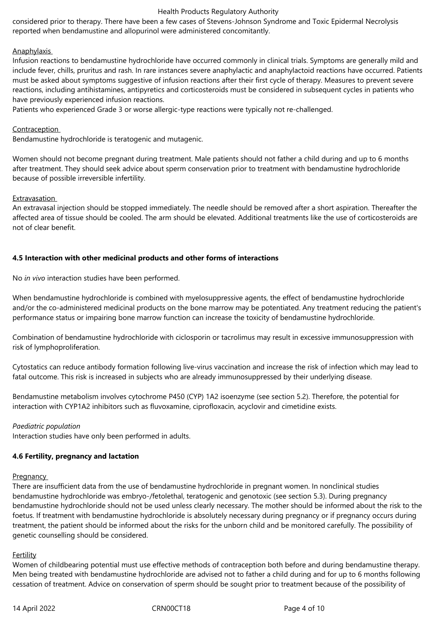considered prior to therapy. There have been a few cases of Stevens‑Johnson Syndrome and Toxic Epidermal Necrolysis reported when bendamustine and allopurinol were administered concomitantly.

## **Anaphylaxis**

Infusion reactions to bendamustine hydrochloride have occurred commonly in clinical trials. Symptoms are generally mild and include fever, chills, pruritus and rash. In rare instances severe anaphylactic and anaphylactoid reactions have occurred. Patients must be asked about symptoms suggestive of infusion reactions after their first cycle of therapy. Measures to prevent severe reactions, including antihistamines, antipyretics and corticosteroids must be considered in subsequent cycles in patients who have previously experienced infusion reactions.

Patients who experienced Grade 3 or worse allergic-type reactions were typically not re-challenged.

## Contraception

Bendamustine hydrochloride is teratogenic and mutagenic.

Women should not become pregnant during treatment. Male patients should not father a child during and up to 6 months after treatment. They should seek advice about sperm conservation prior to treatment with bendamustine hydrochloride because of possible irreversible infertility.

## Extravasation

An extravasal injection should be stopped immediately. The needle should be removed after a short aspiration. Thereafter the affected area of tissue should be cooled. The arm should be elevated. Additional treatments like the use of corticosteroids are not of clear benefit.

## **4.5 Interaction with other medicinal products and other forms of interactions**

No *in vivo* interaction studies have been performed.

When bendamustine hydrochloride is combined with myelosuppressive agents, the effect of bendamustine hydrochloride and/or the co-administered medicinal products on the bone marrow may be potentiated. Any treatment reducing the patient's performance status or impairing bone marrow function can increase the toxicity of bendamustine hydrochloride.

Combination of bendamustine hydrochloride with ciclosporin or tacrolimus may result in excessive immunosuppression with risk of lymphoproliferation.

Cytostatics can reduce antibody formation following live‑virus vaccination and increase the risk of infection which may lead to fatal outcome. This risk is increased in subjects who are already immunosuppressed by their underlying disease.

Bendamustine metabolism involves cytochrome P450 (CYP) 1A2 isoenzyme (see section 5.2). Therefore, the potential for interaction with CYP1A2 inhibitors such as fluvoxamine, ciprofloxacin, acyclovir and cimetidine exists.

## *Paediatric population*

Interaction studies have only been performed in adults.

## **4.6 Fertility, pregnancy and lactation**

## **Pregnancy**

There are insufficient data from the use of bendamustine hydrochloride in pregnant women. In nonclinical studies bendamustine hydrochloride was embryo-/fetolethal, teratogenic and genotoxic (see section 5.3). During pregnancy bendamustine hydrochloride should not be used unless clearly necessary. The mother should be informed about the risk to the foetus. If treatment with bendamustine hydrochloride is absolutely necessary during pregnancy or if pregnancy occurs during treatment, the patient should be informed about the risks for the unborn child and be monitored carefully. The possibility of genetic counselling should be considered.

## Fertility

Women of childbearing potential must use effective methods of contraception both before and during bendamustine therapy. Men being treated with bendamustine hydrochloride are advised not to father a child during and for up to 6 months following cessation of treatment. Advice on conservation of sperm should be sought prior to treatment because of the possibility of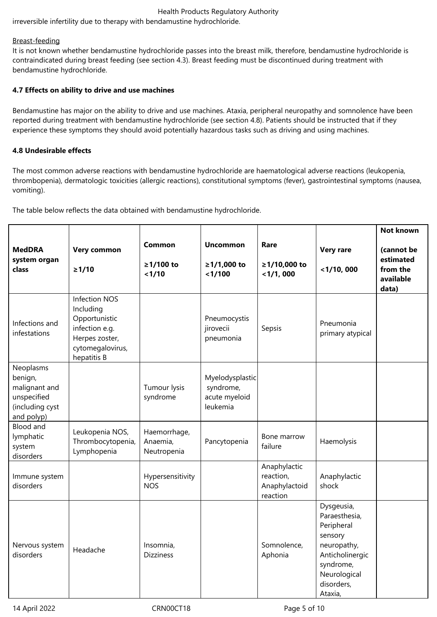irreversible infertility due to therapy with bendamustine hydrochloride.

## Breast-feeding

It is not known whether bendamustine hydrochloride passes into the breast milk, therefore, bendamustine hydrochloride is contraindicated during breast feeding (see section 4.3). Breast feeding must be discontinued during treatment with bendamustine hydrochloride.

## **4.7 Effects on ability to drive and use machines**

Bendamustine has major on the ability to drive and use machines. Ataxia, peripheral neuropathy and somnolence have been reported during treatment with bendamustine hydrochloride (see section 4.8). Patients should be instructed that if they experience these symptoms they should avoid potentially hazardous tasks such as driving and using machines.

## **4.8 Undesirable effects**

The most common adverse reactions with bendamustine hydrochloride are haematological adverse reactions (leukopenia, thrombopenia), dermatologic toxicities (allergic reactions), constitutional symptoms (fever), gastrointestinal symptoms (nausea, vomiting).

The table below reflects the data obtained with bendamustine hydrochloride.

| <b>MedDRA</b><br>system organ<br>class                                                | <b>Very common</b><br>$\geq 1/10$                                                                                         | <b>Common</b><br>≥1/100 to<br>1/10      | <b>Uncommon</b><br>≥1/1,000 to<br>< 1/100                 | Rare<br>≥1/10,000 to<br>$<$ 1/1, 000                   | <b>Very rare</b><br>$<$ 1/10, 000                                                                                                            | <b>Not known</b><br>(cannot be<br>estimated<br>from the<br>available<br>data) |
|---------------------------------------------------------------------------------------|---------------------------------------------------------------------------------------------------------------------------|-----------------------------------------|-----------------------------------------------------------|--------------------------------------------------------|----------------------------------------------------------------------------------------------------------------------------------------------|-------------------------------------------------------------------------------|
| Infections and<br>infestations                                                        | <b>Infection NOS</b><br>Including<br>Opportunistic<br>infection e.g.<br>Herpes zoster,<br>cytomegalovirus,<br>hepatitis B |                                         | Pneumocystis<br>jirovecii<br>pneumonia                    | Sepsis                                                 | Pneumonia<br>primary atypical                                                                                                                |                                                                               |
| Neoplasms<br>benign,<br>malignant and<br>unspecified<br>(including cyst<br>and polyp) |                                                                                                                           | Tumour lysis<br>syndrome                | Myelodysplastic<br>syndrome,<br>acute myeloid<br>leukemia |                                                        |                                                                                                                                              |                                                                               |
| Blood and<br>lymphatic<br>system<br>disorders                                         | Leukopenia NOS,<br>Thrombocytopenia,<br>Lymphopenia                                                                       | Haemorrhage,<br>Anaemia,<br>Neutropenia | Pancytopenia                                              | Bone marrow<br>failure                                 | Haemolysis                                                                                                                                   |                                                                               |
| Immune system<br>disorders                                                            |                                                                                                                           | Hypersensitivity<br><b>NOS</b>          |                                                           | Anaphylactic<br>reaction,<br>Anaphylactoid<br>reaction | Anaphylactic<br>shock                                                                                                                        |                                                                               |
| Nervous system<br>disorders                                                           | Headache                                                                                                                  | Insomnia,<br><b>Dizziness</b>           |                                                           | Somnolence,<br>Aphonia                                 | Dysgeusia,<br>Paraesthesia,<br>Peripheral<br>sensory<br>neuropathy,<br>Anticholinergic<br>syndrome,<br>Neurological<br>disorders,<br>Ataxia, |                                                                               |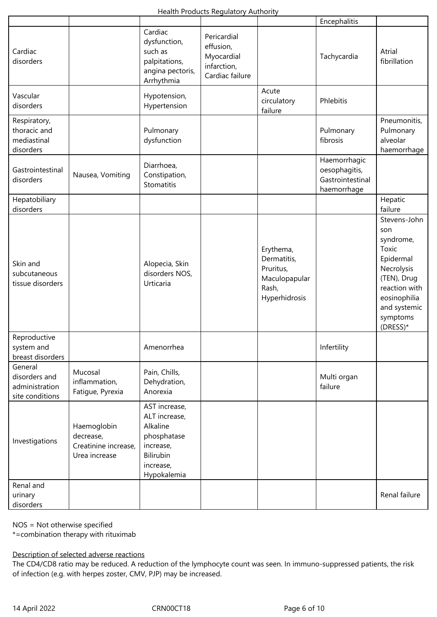|                                                               |                                                                   |                                                                                                                 |                                                                          |                                                                                  | Encephalitis                                                     |                                                                                                                                                              |
|---------------------------------------------------------------|-------------------------------------------------------------------|-----------------------------------------------------------------------------------------------------------------|--------------------------------------------------------------------------|----------------------------------------------------------------------------------|------------------------------------------------------------------|--------------------------------------------------------------------------------------------------------------------------------------------------------------|
| Cardiac<br>disorders                                          |                                                                   | Cardiac<br>dysfunction,<br>such as<br>palpitations,<br>angina pectoris,<br>Arrhythmia                           | Pericardial<br>effusion,<br>Myocardial<br>infarction,<br>Cardiac failure |                                                                                  | Tachycardia                                                      | Atrial<br>fibrillation                                                                                                                                       |
| Vascular<br>disorders                                         |                                                                   | Hypotension,<br>Hypertension                                                                                    |                                                                          | Acute<br>circulatory<br>failure                                                  | Phlebitis                                                        |                                                                                                                                                              |
| Respiratory,<br>thoracic and<br>mediastinal<br>disorders      |                                                                   | Pulmonary<br>dysfunction                                                                                        |                                                                          |                                                                                  | Pulmonary<br>fibrosis                                            | Pneumonitis,<br>Pulmonary<br>alveolar<br>haemorrhage                                                                                                         |
| Gastrointestinal<br>disorders                                 | Nausea, Vomiting                                                  | Diarrhoea,<br>Constipation,<br>Stomatitis                                                                       |                                                                          |                                                                                  | Haemorrhagic<br>oesophagitis,<br>Gastrointestinal<br>haemorrhage |                                                                                                                                                              |
| Hepatobiliary<br>disorders                                    |                                                                   |                                                                                                                 |                                                                          |                                                                                  |                                                                  | Hepatic<br>failure                                                                                                                                           |
| Skin and<br>subcutaneous<br>tissue disorders                  |                                                                   | Alopecia, Skin<br>disorders NOS,<br>Urticaria                                                                   |                                                                          | Erythema,<br>Dermatitis,<br>Pruritus,<br>Maculopapular<br>Rash,<br>Hyperhidrosis |                                                                  | Stevens-John<br>son<br>syndrome,<br>Toxic<br>Epidermal<br>Necrolysis<br>(TEN), Drug<br>reaction with<br>eosinophilia<br>and systemic<br>symptoms<br>(DRESS)* |
| Reproductive<br>system and<br>breast disorders                |                                                                   | Amenorrhea                                                                                                      |                                                                          |                                                                                  | Infertility                                                      |                                                                                                                                                              |
| General<br>disorders and<br>administration<br>site conditions | Mucosal<br>inflammation,<br>Fatigue, Pyrexia                      | Pain, Chills,<br>Dehydration,<br>Anorexia                                                                       |                                                                          |                                                                                  | Multi organ<br>failure                                           |                                                                                                                                                              |
| Investigations                                                | Haemoglobin<br>decrease,<br>Creatinine increase,<br>Urea increase | AST increase,<br>ALT increase,<br>Alkaline<br>phosphatase<br>increase,<br>Bilirubin<br>increase,<br>Hypokalemia |                                                                          |                                                                                  |                                                                  |                                                                                                                                                              |
| Renal and<br>urinary<br>disorders                             |                                                                   |                                                                                                                 |                                                                          |                                                                                  |                                                                  | Renal failure                                                                                                                                                |

NOS = Not otherwise specified

\*=combination therapy with rituximab

Description of selected adverse reactions

The CD4/CD8 ratio may be reduced. A reduction of the lymphocyte count was seen. In immuno-suppressed patients, the risk of infection (e.g. with herpes zoster, CMV, PJP) may be increased.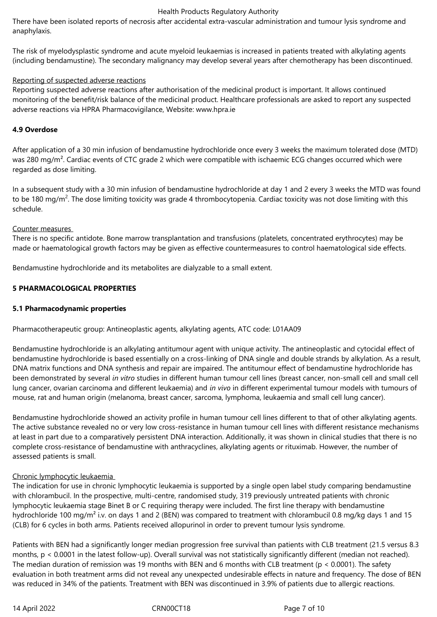There have been isolated reports of necrosis after accidental extra-vascular administration and tumour lysis syndrome and anaphylaxis.

The risk of myelodysplastic syndrome and acute myeloid leukaemias is increased in patients treated with alkylating agents (including bendamustine). The secondary malignancy may develop several years after chemotherapy has been discontinued.

## Reporting of suspected adverse reactions

Reporting suspected adverse reactions after authorisation of the medicinal product is important. It allows continued monitoring of the benefit/risk balance of the medicinal product. Healthcare professionals are asked to report any suspected adverse reactions via HPRA Pharmacovigilance, Website: www.hpra.ie

## **4.9 Overdose**

After application of a 30 min infusion of bendamustine hydrochloride once every 3 weeks the maximum tolerated dose (MTD) was 280 mg/m<sup>2</sup>. Cardiac events of CTC grade 2 which were compatible with ischaemic ECG changes occurred which were regarded as dose limiting.

In a subsequent study with a 30 min infusion of bendamustine hydrochloride at day 1 and 2 every 3 weeks the MTD was found to be 180 mg/m<sup>2</sup>. The dose limiting toxicity was grade 4 thrombocytopenia. Cardiac toxicity was not dose limiting with this schedule.

## Counter measures

There is no specific antidote. Bone marrow transplantation and transfusions (platelets, concentrated erythrocytes) may be made or haematological growth factors may be given as effective countermeasures to control haematological side effects.

Bendamustine hydrochloride and its metabolites are dialyzable to a small extent.

## **5 PHARMACOLOGICAL PROPERTIES**

## **5.1 Pharmacodynamic properties**

Pharmacotherapeutic group: Antineoplastic agents, alkylating agents, ATC code: L01AA09

Bendamustine hydrochloride is an alkylating antitumour agent with unique activity. The antineoplastic and cytocidal effect of bendamustine hydrochloride is based essentially on a cross-linking of DNA single and double strands by alkylation. As a result, DNA matrix functions and DNA synthesis and repair are impaired. The antitumour effect of bendamustine hydrochloride has been demonstrated by several *in vitro* studies in different human tumour cell lines (breast cancer, non-small cell and small cell lung cancer, ovarian carcinoma and different leukaemia) and *in vivo* in different experimental tumour models with tumours of mouse, rat and human origin (melanoma, breast cancer, sarcoma, lymphoma, leukaemia and small cell lung cancer).

Bendamustine hydrochloride showed an activity profile in human tumour cell lines different to that of other alkylating agents. The active substance revealed no or very low cross-resistance in human tumour cell lines with different resistance mechanisms at least in part due to a comparatively persistent DNA interaction. Additionally, it was shown in clinical studies that there is no complete cross-resistance of bendamustine with anthracyclines, alkylating agents or rituximab. However, the number of assessed patients is small.

## Chronic lymphocytic leukaemia

The indication for use in chronic lymphocytic leukaemia is supported by a single open label study comparing bendamustine with chlorambucil. In the prospective, multi-centre, randomised study, 319 previously untreated patients with chronic lymphocytic leukaemia stage Binet B or C requiring therapy were included. The first line therapy with bendamustine hydrochloride 100 mg/m<sup>2</sup> i.v. on days 1 and 2 (BEN) was compared to treatment with chlorambucil 0.8 mg/kg days 1 and 15 (CLB) for 6 cycles in both arms. Patients received allopurinol in order to prevent tumour lysis syndrome.

Patients with BEN had a significantly longer median progression free survival than patients with CLB treatment (21.5 versus 8.3 months,  $p < 0.0001$  in the latest follow-up). Overall survival was not statistically significantly different (median not reached). The median duration of remission was 19 months with BEN and 6 months with CLB treatment (p < 0.0001). The safety evaluation in both treatment arms did not reveal any unexpected undesirable effects in nature and frequency. The dose of BEN was reduced in 34% of the patients. Treatment with BEN was discontinued in 3.9% of patients due to allergic reactions.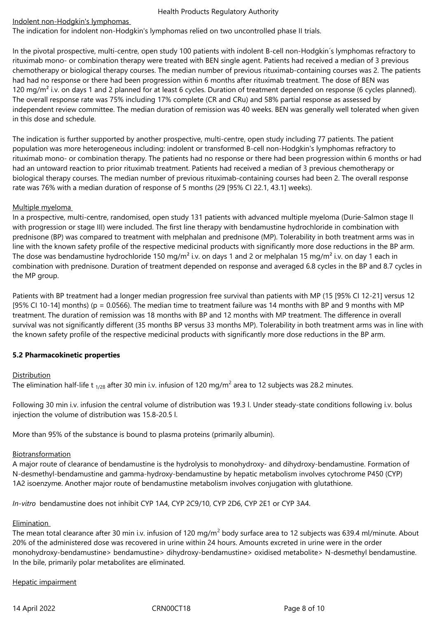## Indolent non‑Hodgkin's lymphomas

The indication for indolent non-Hodgkin's lymphomas relied on two uncontrolled phase II trials.

In the pivotal prospective, multi-centre, open study 100 patients with indolent B-cell non-Hodgkin's lymphomas refractory to rituximab mono- or combination therapy were treated with BEN single agent. Patients had received a median of 3 previous chemotherapy or biological therapy courses. The median number of previous rituximab‑containing courses was 2. The patients had had no response or there had been progression within 6 months after rituximab treatment. The dose of BEN was 120 mg/m<sup>2</sup> i.v. on days 1 and 2 planned for at least 6 cycles. Duration of treatment depended on response (6 cycles planned). The overall response rate was 75% including 17% complete (CR and CRu) and 58% partial response as assessed by independent review committee. The median duration of remission was 40 weeks. BEN was generally well tolerated when given in this dose and schedule.

The indication is further supported by another prospective, multi-centre, open study including 77 patients. The patient population was more heterogeneous including: indolent or transformed B‑cell non‑Hodgkin's lymphomas refractory to rituximab mono- or combination therapy. The patients had no response or there had been progression within 6 months or had had an untoward reaction to prior rituximab treatment. Patients had received a median of 3 previous chemotherapy or biological therapy courses. The median number of previous rituximab-containing courses had been 2. The overall response rate was 76% with a median duration of response of 5 months (29 [95% CI 22.1, 43.1] weeks).

## Multiple myeloma

In a prospective, multi-centre, randomised, open study 131 patients with advanced multiple myeloma (Durie-Salmon stage II with progression or stage III) were included. The first line therapy with bendamustine hydrochloride in combination with prednisone (BP) was compared to treatment with melphalan and prednisone (MP). Tolerability in both treatment arms was in line with the known safety profile of the respective medicinal products with significantly more dose reductions in the BP arm. The dose was bendamustine hydrochloride 150 mg/m<sup>2</sup> i.v. on days 1 and 2 or melphalan 15 mg/m<sup>2</sup> i.v. on day 1 each in combination with prednisone. Duration of treatment depended on response and averaged 6.8 cycles in the BP and 8.7 cycles in the MP group.

Patients with BP treatment had a longer median progression free survival than patients with MP (15 [95% CI 12‑21] versus 12 [95% CI 10-14] months) ( $p = 0.0566$ ). The median time to treatment failure was 14 months with BP and 9 months with MP treatment. The duration of remission was 18 months with BP and 12 months with MP treatment. The difference in overall survival was not significantly different (35 months BP versus 33 months MP). Tolerability in both treatment arms was in line with the known safety profile of the respective medicinal products with significantly more dose reductions in the BP arm.

## **5.2 Pharmacokinetic properties**

## Distribution

The elimination half-life t  $_{1/26}$  after 30 min i.v. infusion of 120 mg/m $^2$  area to 12 subjects was 28.2 minutes.

Following 30 min i.v. infusion the central volume of distribution was 19.3 l. Under steady‑state conditions following i.v. bolus injection the volume of distribution was 15.8‑20.5 l.

More than 95% of the substance is bound to plasma proteins (primarily albumin).

## Biotransformation

A major route of clearance of bendamustine is the hydrolysis to monohydroxy- and dihydroxy-bendamustine. Formation of N‑desmethyl‑bendamustine and gamma‑hydroxy‑bendamustine by hepatic metabolism involves cytochrome P450 (CYP) 1A2 isoenzyme. Another major route of bendamustine metabolism involves conjugation with glutathione.

*In‑vitro* bendamustine does not inhibit CYP 1A4, CYP 2C9/10, CYP 2D6, CYP 2E1 or CYP 3A4.

## Elimination

The mean total clearance after 30 min i.v. infusion of 120 mg/m<sup>2</sup> body surface area to 12 subjects was 639.4 ml/minute. About 20% of the administered dose was recovered in urine within 24 hours. Amounts excreted in urine were in the order monohydroxy‑bendamustine> bendamustine> dihydroxy‑bendamustine> oxidised metabolite> N‑desmethyl bendamustine. In the bile, primarily polar metabolites are eliminated.

## Hepatic impairment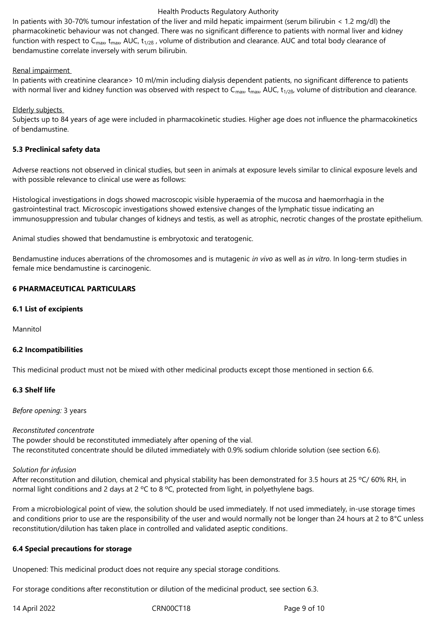In patients with 30-70% tumour infestation of the liver and mild hepatic impairment (serum bilirubin < 1.2 mg/dl) the pharmacokinetic behaviour was not changed. There was no significant difference to patients with normal liver and kidney function with respect to  $C_{\text{max}}$ ,  $t_{\text{max}}$ , AUC,  $t_{1/2B}$ , volume of distribution and clearance. AUC and total body clearance of bendamustine correlate inversely with serum bilirubin.

### Renal impairment

In patients with creatinine clearance> 10 ml/min including dialysis dependent patients, no significant difference to patients with normal liver and kidney function was observed with respect to  $C_{\text{max}}$ ,  $t_{\text{max}}$ , AUC,  $t_{1/2B}$ , volume of distribution and clearance.

### Elderly subjects

Subjects up to 84 years of age were included in pharmacokinetic studies. Higher age does not influence the pharmacokinetics of bendamustine.

### **5.3 Preclinical safety data**

Adverse reactions not observed in clinical studies, but seen in animals at exposure levels similar to clinical exposure levels and with possible relevance to clinical use were as follows:

Histological investigations in dogs showed macroscopic visible hyperaemia of the mucosa and haemorrhagia in the gastrointestinal tract. Microscopic investigations showed extensive changes of the lymphatic tissue indicating an immunosuppression and tubular changes of kidneys and testis, as well as atrophic, necrotic changes of the prostate epithelium.

Animal studies showed that bendamustine is embryotoxic and teratogenic.

Bendamustine induces aberrations of the chromosomes and is mutagenic *in vivo* as well as *in vitro*. In long‑term studies in female mice bendamustine is carcinogenic.

## **6 PHARMACEUTICAL PARTICULARS**

#### **6.1 List of excipients**

Mannitol

## **6.2 Incompatibilities**

This medicinal product must not be mixed with other medicinal products except those mentioned in section 6.6.

## **6.3 Shelf life**

*Before opening:* 3 years

#### *Reconstituted concentrate*

The powder should be reconstituted immediately after opening of the vial. The reconstituted concentrate should be diluted immediately with 0.9% sodium chloride solution (see section 6.6).

#### *Solution for infusion*

After reconstitution and dilution, chemical and physical stability has been demonstrated for 3.5 hours at 25 °C/ 60% RH, in normal light conditions and 2 days at 2 °C to 8 °C, protected from light, in polyethylene bags.

From a microbiological point of view, the solution should be used immediately. If not used immediately, in-use storage times and conditions prior to use are the responsibility of the user and would normally not be longer than 24 hours at 2 to 8°C unless reconstitution/dilution has taken place in controlled and validated aseptic conditions.

#### **6.4 Special precautions for storage**

Unopened: This medicinal product does not require any special storage conditions.

For storage conditions after reconstitution or dilution of the medicinal product, see section 6.3.

14 April 2022 CRN00CT18 Page 9 of 10